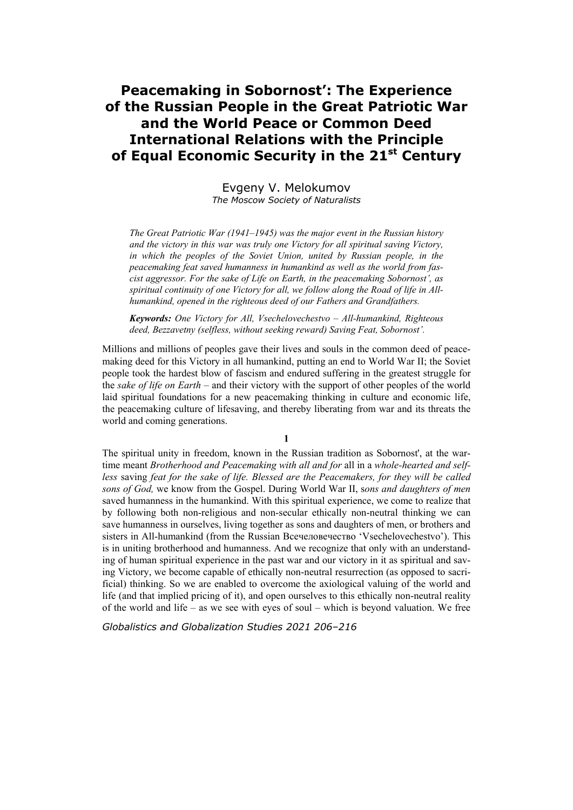## **Peacemaking in Sobornost': The Experience of the Russian People in the Great Patriotic War and the World Peace or Common Deed International Relations with the Principle**  of Equal Economic Security in the 21<sup>st</sup> Century

Evgeny V. Melokumov *The Moscow Society of Naturalists* 

*The Great Patriotic War (1941–1945) was the major event in the Russian history and the victory in this war was truly one Victory for all spiritual saving Victory,*  in which the peoples of the Soviet Union, united by Russian people, in the *peacemaking feat saved humanness in humankind as well as the world from fascist aggressor. For the sake of Life on Earth, in the peacemaking Sobornost', as spiritual continuity of one Victory for all, we follow along the Road of life in Allhumankind, opened in the righteous deed of our Fathers and Grandfathers.* 

*Keywords: One Victory for All, Vsechelovechestvo – All-humankind, Righteous deed, Bezzavetny (selfless, without seeking reward) Saving Feat, Sobornost'.* 

Millions and millions of peoples gave their lives and souls in the common deed of peacemaking deed for this Victory in all humankind, putting an end to World War II; the Soviet people took the hardest blow of fascism and endured suffering in the greatest struggle for the *sake of life on Earth* – and their victory with the support of other peoples of the world laid spiritual foundations for a new peacemaking thinking in culture and economic life, the peacemaking culture of lifesaving, and thereby liberating from war and its threats the world and coming generations.

The spiritual unity in freedom, known in the Russian tradition as Sobornost', at the wartime meant *Brotherhood and Peacemaking with all and for* all in a *whole-hearted and selfless* saving *feat for the sake of life. Blessed are the Peacemakers, for they will be called sons of God,* we know from the Gospel. During World War II, s*ons and daughters of men* saved humanness in the humankind. With this spiritual experience, we come to realize that by following both non-religious and non-secular ethically non-neutral thinking we can save humanness in ourselves, living together as sons and daughters of men, or brothers and sisters in All-humankind (from the Russian Всечеловечество 'Vsechelovechestvo'). This is in uniting brotherhood and humanness. And we recognize that only with an understanding of human spiritual experience in the past war and our victory in it as spiritual and saving Victory, we become capable of ethically non-neutral resurrection (as opposed to sacrificial) thinking. So we are enabled to overcome the axiological valuing of the world and life (and that implied pricing of it), and open ourselves to this ethically non-neutral reality of the world and life – as we see with eyes of soul – which is beyond valuation. We free

*Globalistics and Globalization Studies 2021 206–216*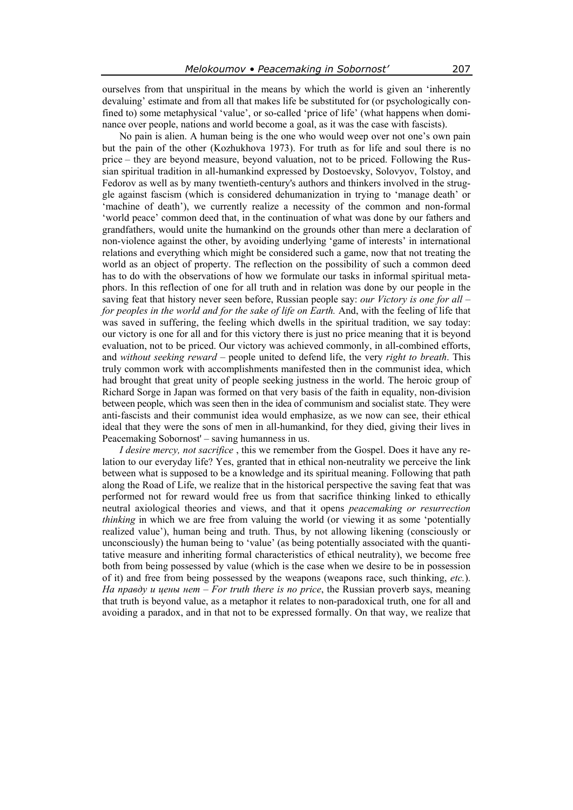ourselves from that unspiritual in the means by which the world is given an 'inherently devaluing' estimate and from all that makes life be substituted for (or psychologically confined to) some metaphysical 'value', or so-called 'price of life' (what happens when dominance over people, nations and world become a goal, as it was the case with fascists).

No pain is alien. A human being is the one who would weep over not one's own pain but the pain of the other (Kozhukhova 1973). For truth as for life and soul there is no price – they are beyond measure, beyond valuation, not to be priced. Following the Russian spiritual tradition in all-humankind expressed by Dostoevsky, Solovyov, Tolstoy, and Fedorov as well as by many twentieth-century's authors and thinkers involved in the struggle against fascism (which is considered dehumanization in trying to 'manage death' or 'machine of death'), we currently realize a necessity of the common and non-formal 'world peace' common deed that, in the continuation of what was done by our fathers and grandfathers, would unite the humankind on the grounds other than mere a declaration of non-violence against the other, by avoiding underlying 'game of interests' in international relations and everything which might be considered such a game, now that not treating the world as an object of property. The reflection on the possibility of such a common deed has to do with the observations of how we formulate our tasks in informal spiritual metaphors. In this reflection of one for all truth and in relation was done by our people in the saving feat that history never seen before, Russian people say: *our Victory is one for all – for peoples in the world and for the sake of life on Earth.* And, with the feeling of life that was saved in suffering, the feeling which dwells in the spiritual tradition, we say today: our victory is one for all and for this victory there is just no price meaning that it is beyond evaluation, not to be priced. Our victory was achieved commonly, in all-combined efforts, and *without seeking reward –* people united to defend life, the very *right to breath*. This truly common work with accomplishments manifested then in the communist idea, which had brought that great unity of people seeking justness in the world. The heroic group of Richard Sorge in Japan was formed on that very basis of the faith in equality, non-division between people, which was seen then in the idea of communism and socialist state. They were anti-fascists and their communist idea would emphasize, as we now can see, their ethical ideal that they were the sons of men in all-humankind, for they died, giving their lives in Peacemaking Sobornost' – saving humanness in us.

*I desire mercy, not sacrifice* , this we remember from the Gospel. Does it have any relation to our everyday life? Yes, granted that in ethical non-neutrality we perceive the link between what is supposed to be a knowledge and its spiritual meaning. Following that path along the Road of Life, we realize that in the historical perspective the saving feat that was performed not for reward would free us from that sacrifice thinking linked to ethically neutral axiological theories and views, and that it opens *peacemaking or resurrection thinking* in which we are free from valuing the world (or viewing it as some 'potentially realized value'), human being and truth. Thus, by not allowing likening (consciously or unconsciously) the human being to 'value' (as being potentially associated with the quantitative measure and inheriting formal characteristics of ethical neutrality), we become free both from being possessed by value (which is the case when we desire to be in possession of it) and free from being possessed by the weapons (weapons race, such thinking, *etc.*). *На правду и цены нет* – *For truth there is no price*, the Russian proverb says, meaning that truth is beyond value, as a metaphor it relates to non-paradoxical truth, one for all and avoiding a paradox, and in that not to be expressed formally. On that way, we realize that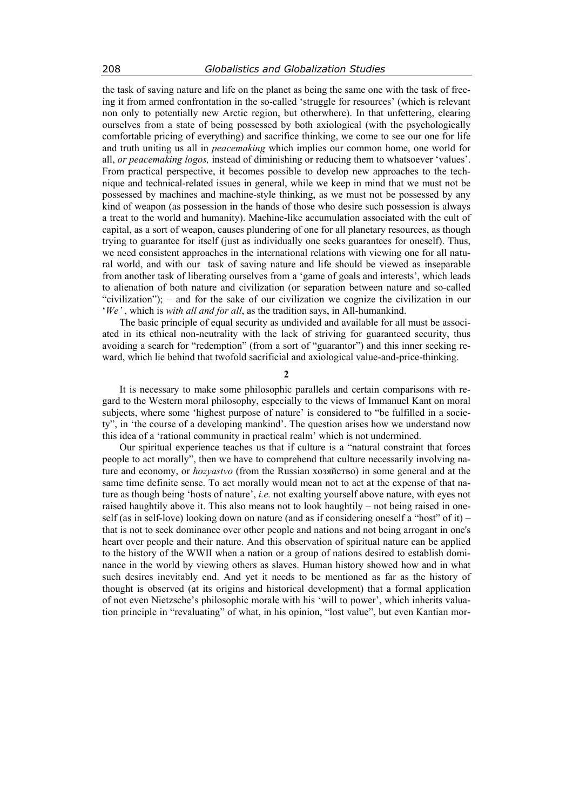the task of saving nature and life on the planet as being the same one with the task of freeing it from armed confrontation in the so-called 'struggle for resources' (which is relevant non only to potentially new Arctic region, but otherwhere). In that unfettering, clearing ourselves from a state of being possessed by both axiological (with the psychologically comfortable pricing of everything) and sacrifice thinking, we come to see our one for life and truth uniting us all in *peacemaking* which implies our common home, one world for all, *or peacemaking logos,* instead of diminishing or reducing them to whatsoever 'values'. From practical perspective, it becomes possible to develop new approaches to the technique and technical-related issues in general, while we keep in mind that we must not be possessed by machines and machine-style thinking, as we must not be possessed by any kind of weapon (as possession in the hands of those who desire such possession is always a treat to the world and humanity). Machine-like accumulation associated with the cult of capital, as a sort of weapon, causes plundering of one for all planetary resources, as though trying to guarantee for itself (just as individually one seeks guarantees for oneself). Thus, we need consistent approaches in the international relations with viewing one for all natural world, and with our task of saving nature and life should be viewed as inseparable from another task of liberating ourselves from a 'game of goals and interests', which leads to alienation of both nature and civilization (or separation between nature and so-called "civilization"); – and for the sake of our civilization we cognize the civilization in our '*We'* , which is *with all and for all*, as the tradition says, in All-humankind.

The basic principle of equal security as undivided and available for all must be associated in its ethical non-neutrality with the lack of striving for guaranteed security, thus avoiding a search for "redemption" (from a sort of "guarantor") and this inner seeking reward, which lie behind that twofold sacrificial and axiological value-and-price-thinking.

 $\overline{\mathbf{2}}$ 

It is necessary to make some philosophic parallels and certain comparisons with regard to the Western moral philosophy, especially to the views of Immanuel Kant on moral subjects, where some 'highest purpose of nature' is considered to "be fulfilled in a society", in 'the course of a developing mankind'. The question arises how we understand now this idea of a 'rational community in practical realm' which is not undermined.

Our spiritual experience teaches us that if culture is a "natural constraint that forces people to act morally", then we have to comprehend that culture necessarily involving nature and economy, or *hozyastvo* (from the Russian хозяйство) in some general and at the same time definite sense. To act morally would mean not to act at the expense of that nature as though being 'hosts of nature', *i.e.* not exalting yourself above nature, with eyes not raised haughtily above it. This also means not to look haughtily – not being raised in oneself (as in self-love) looking down on nature (and as if considering oneself a "host" of it) – that is not to seek dominance over other people and nations and not being arrogant in one's heart over people and their nature. And this observation of spiritual nature can be applied to the history of the WWII when a nation or a group of nations desired to establish dominance in the world by viewing others as slaves. Human history showed how and in what such desires inevitably end. And yet it needs to be mentioned as far as the history of thought is observed (at its origins and historical development) that a formal application of not even Nietzsche's philosophic morale with his 'will to power', which inherits valuation principle in "revaluating" of what, in his opinion, "lost value", but even Kantian mor-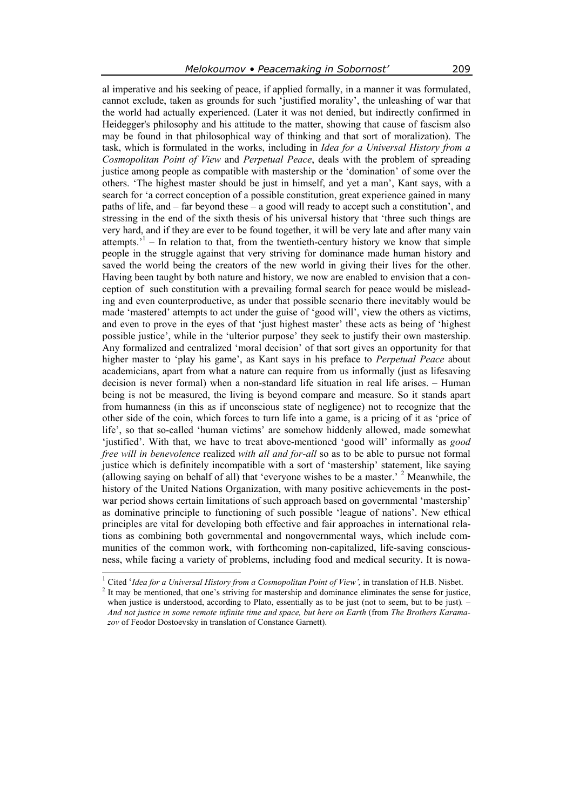al imperative and his seeking of peace, if applied formally, in a manner it was formulated, cannot exclude, taken as grounds for such 'justified morality', the unleashing of war that the world had actually experienced. (Later it was not denied, but indirectly confirmed in Heidegger's philosophy and his attitude to the matter, showing that cause of fascism also may be found in that philosophical way of thinking and that sort of moralization). The task, which is formulated in the works, including in *Idea for a Universal History from a Cosmopolitan Point of View* and *Perpetual Peace*, deals with the problem of spreading justice among people as compatible with mastership or the 'domination' of some over the others. 'The highest master should be just in himself, and yet a man', Kant says, with a search for 'a correct conception of a possible constitution, great experience gained in many paths of life, and – far beyond these – a good will ready to accept such a constitution', and stressing in the end of the sixth thesis of his universal history that 'three such things are very hard, and if they are ever to be found together, it will be very late and after many vain attempts.<sup> $1$ </sup> – In relation to that, from the twentieth-century history we know that simple people in the struggle against that very striving for dominance made human history and saved the world being the creators of the new world in giving their lives for the other. Having been taught by both nature and history, we now are enabled to envision that a conception of such constitution with a prevailing formal search for peace would be misleading and even counterproductive, as under that possible scenario there inevitably would be made 'mastered' attempts to act under the guise of 'good will', view the others as victims, and even to prove in the eyes of that 'just highest master' these acts as being of 'highest possible justice', while in the 'ulterior purpose' they seek to justify their own mastership. Any formalized and centralized 'moral decision' of that sort gives an opportunity for that higher master to 'play his game', as Kant says in his preface to *Perpetual Peace* about academicians, apart from what a nature can require from us informally (just as lifesaving decision is never formal) when a non-standard life situation in real life arises. – Human being is not be measured, the living is beyond compare and measure. So it stands apart from humanness (in this as if unconscious state of negligence) not to recognize that the other side of the coin, which forces to turn life into a game, is a pricing of it as 'price of life', so that so-called 'human victims' are somehow hiddenly allowed, made somewhat 'justified'. With that, we have to treat above-mentioned 'good will' informally as *good free will in benevolence* realized *with all and for-all* so as to be able to pursue not formal justice which is definitely incompatible with a sort of 'mastership' statement, like saying (allowing saying on behalf of all) that 'everyone wishes to be a master.'  $2$  Meanwhile, the history of the United Nations Organization, with many positive achievements in the postwar period shows certain limitations of such approach based on governmental 'mastership' as dominative principle to functioning of such possible 'league of nations'. New ethical principles are vital for developing both effective and fair approaches in international relations as combining both governmental and nongovernmental ways, which include communities of the common work, with forthcoming non-capitalized, life-saving consciousness, while facing a variety of problems, including food and medical security. It is nowa-

<sup>&</sup>lt;sup>1</sup> Cited '*Idea for a Universal History from a Cosmopolitan Point of View'*, in translation of H.B. Nisbet.

<sup>&</sup>lt;sup>2</sup> It may be mentioned, that one's striving for mastership and dominance eliminates the sense for justice, when justice is understood, according to Plato, essentially as to be just (not to seem, but to be just). – *And not justice in some remote infinite time and space, but here on Earth* (from *The Brothers Karamazov* of Feodor Dostoevsky in translation of Constance Garnett).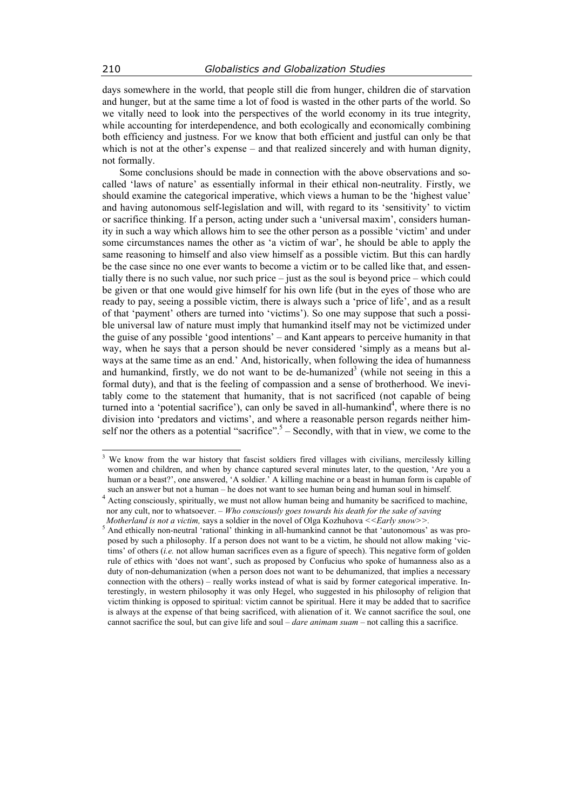days somewhere in the world, that people still die from hunger, children die of starvation and hunger, but at the same time a lot of food is wasted in the other parts of the world. So we vitally need to look into the perspectives of the world economy in its true integrity, while accounting for interdependence, and both ecologically and economically combining both efficiency and justness. For we know that both efficient and justful can only be that which is not at the other's expense – and that realized sincerely and with human dignity, not formally.

Some conclusions should be made in connection with the above observations and socalled 'laws of nature' as essentially informal in their ethical non-neutrality. Firstly, we should examine the categorical imperative, which views a human to be the 'highest value' and having autonomous self-legislation and will, with regard to its 'sensitivity' to victim or sacrifice thinking. If a person, acting under such a 'universal maxim', considers humanity in such a way which allows him to see the other person as a possible 'victim' and under some circumstances names the other as 'a victim of war', he should be able to apply the same reasoning to himself and also view himself as a possible victim. But this can hardly be the case since no one ever wants to become a victim or to be called like that, and essentially there is no such value, nor such price – just as the soul is beyond price – which could be given or that one would give himself for his own life (but in the eyes of those who are ready to pay, seeing a possible victim, there is always such a 'price of life', and as a result of that 'payment' others are turned into 'victims'). So one may suppose that such a possible universal law of nature must imply that humankind itself may not be victimized under the guise of any possible 'good intentions' – and Kant appears to perceive humanity in that way, when he says that a person should be never considered 'simply as a means but always at the same time as an end.' And, historically, when following the idea of humanness and humankind, firstly, we do not want to be de-humanized<sup>3</sup> (while not seeing in this a formal duty), and that is the feeling of compassion and a sense of brotherhood. We inevitably come to the statement that humanity, that is not sacrificed (not capable of being turned into a 'potential sacrifice'), can only be saved in all-humankind<sup>4</sup>, where there is no division into 'predators and victims', and where a reasonable person regards neither himself nor the others as a potential "sacrifice".  $5 -$  Secondly, with that in view, we come to the

<sup>&</sup>lt;sup>3</sup> We know from the war history that fascist soldiers fired villages with civilians, mercilessly killing women and children, and when by chance captured several minutes later, to the question, 'Are you a human or a beast?', one answered, 'A soldier.' A killing machine or a beast in human form is capable of

such an answer but not a human – he does not want to see human being and human soul in himself.<br><sup>4</sup> Acting consciously, spiritually, we must not allow human being and humanity be sacrificed to machine, nor any cult, nor to whatsoever. – *Who consciously goes towards his death for the sake of saving Motherland is not a victim, says a soldier in the novel of Olga Kozhuhova* <<*Early snow>>.* 

 $<sup>5</sup>$  And ethically non-neutral 'rational' thinking in all-humankind cannot be that 'autonomous' as was pro-</sup> posed by such a philosophy. If a person does not want to be a victim, he should not allow making 'victims' of others (*i.e.* not allow human sacrifices even as a figure of speech). This negative form of golden rule of ethics with 'does not want', such as proposed by Confucius who spoke of humanness also as a duty of non-dehumanization (when a person does not want to be dehumanized, that implies a necessary connection with the others) – really works instead of what is said by former categorical imperative. Interestingly, in western philosophy it was only Hegel, who suggested in his philosophy of religion that victim thinking is opposed to spiritual: victim cannot be spiritual. Here it may be added that to sacrifice is always at the expense of that being sacrificed, with alienation of it. We cannot sacrifice the soul, one cannot sacrifice the soul, but can give life and soul – *dare animam suam* – not calling this a sacrifice.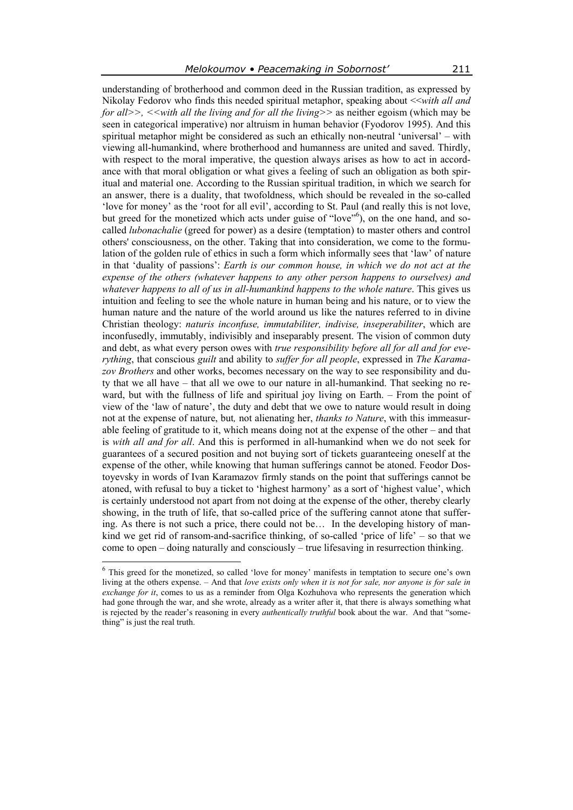understanding of brotherhood and common deed in the Russian tradition, as expressed by Nikolay Fedorov who finds this needed spiritual metaphor, speaking about <<*with all and* 

*for all>>, <<with all the living and for all the living>>* as neither egoism (which may be seen in categorical imperative) nor altruism in human behavior (Fyodorov 1995). And this spiritual metaphor might be considered as such an ethically non-neutral 'universal' – with viewing all-humankind, where brotherhood and humanness are united and saved. Thirdly, with respect to the moral imperative, the question always arises as how to act in accordance with that moral obligation or what gives a feeling of such an obligation as both spiritual and material one. According to the Russian spiritual tradition, in which we search for an answer, there is a duality, that twofoldness, which should be revealed in the so-called 'love for money' as the 'root for all evil', according to St. Paul (and really this is not love, but greed for the monetized which acts under guise of "love"<sup>6</sup>), on the one hand, and socalled *lubonachalie* (greed for power) as a desire (temptation) to master others and control others' consciousness, on the other. Taking that into consideration, we come to the formulation of the golden rule of ethics in such a form which informally sees that 'law' of nature in that 'duality of passions': *Earth is our common house, in which we do not act at the expense of the others (whatever happens to any other person happens to ourselves) and whatever happens to all of us in all-humankind happens to the whole nature.* This gives us intuition and feeling to see the whole nature in human being and his nature, or to view the human nature and the nature of the world around us like the natures referred to in divine Christian theology: *naturis inconfuse, immutabiliter, indivise, inseperabiliter*, which are inconfusedly, immutably, indivisibly and inseparably present. The vision of common duty and debt, as what every person owes with *true responsibility before all for all and for everything*, that conscious *guilt* and ability to *suffer for all people*, expressed in *The Karamazov Brothers* and other works, becomes necessary on the way to see responsibility and duty that we all have – that all we owe to our nature in all-humankind. That seeking no reward, but with the fullness of life and spiritual joy living on Earth. – From the point of view of the 'law of nature', the duty and debt that we owe to nature would result in doing not at the expense of nature, but*,* not alienating her, *thanks to Nature*, with this immeasurable feeling of gratitude to it, which means doing not at the expense of the other – and that is *with all and for all*. And this is performed in all-humankind when we do not seek for guarantees of a secured position and not buying sort of tickets guaranteeing oneself at the expense of the other, while knowing that human sufferings cannot be atoned. Feodor Dostoyevsky in words of Ivan Karamazov firmly stands on the point that sufferings cannot be atoned, with refusal to buy a ticket to 'highest harmony' as a sort of 'highest value', which is certainly understood not apart from not doing at the expense of the other, thereby clearly showing, in the truth of life, that so-called price of the suffering cannot atone that suffering. As there is not such a price, there could not be… In the developing history of mankind we get rid of ransom-and-sacrifice thinking, of so-called 'price of life' – so that we come to open – doing naturally and consciously – true lifesaving in resurrection thinking.  $\overline{a}$ 

<sup>6</sup> This greed for the monetized, so called 'love for money' manifests in temptation to secure one's own living at the others expense. – And that *love exists only when it is not for sale, nor anyone is for sale in exchange for it*, comes to us as a reminder from Olga Kozhuhova who represents the generation which had gone through the war, and she wrote, already as a writer after it, that there is always something what is rejected by the reader's reasoning in every *authentically truthful* book about the war. And that "something" is just the real truth.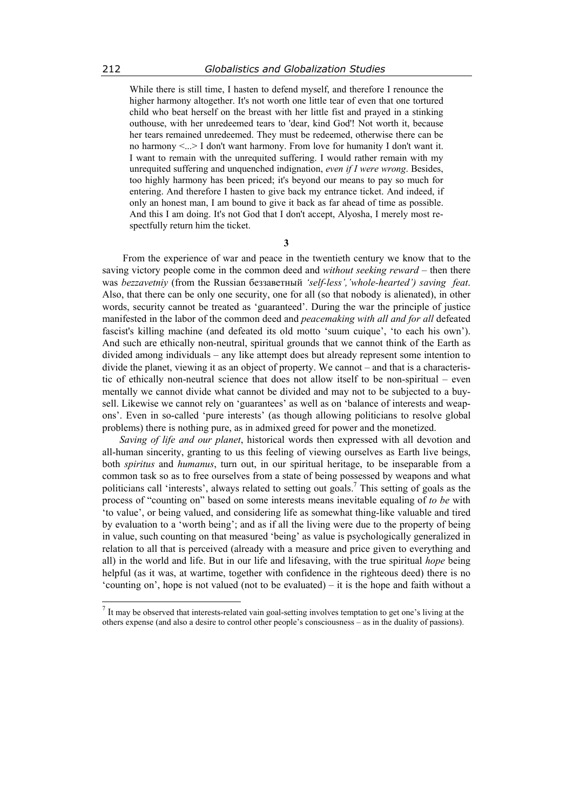While there is still time, I hasten to defend myself, and therefore I renounce the higher harmony altogether. It's not worth one little tear of even that one tortured child who beat herself on the breast with her little fist and prayed in a stinking outhouse, with her unredeemed tears to 'dear, kind God'! Not worth it, because her tears remained unredeemed. They must be redeemed, otherwise there can be no harmony <...> I don't want harmony. From love for humanity I don't want it. I want to remain with the unrequited suffering. I would rather remain with my unrequited suffering and unquenched indignation, *even if I were wrong*. Besides, too highly harmony has been priced; it's beyond our means to pay so much for entering. And therefore I hasten to give back my entrance ticket. And indeed, if only an honest man, I am bound to give it back as far ahead of time as possible. And this I am doing. It's not God that I don't accept, Alyosha, I merely most respectfully return him the ticket.

**3** 

 From the experience of war and peace in the twentieth century we know that to the saving victory people come in the common deed and *without seeking reward* – then there was *bezzavetniy* (from the Russian беззаветный *'self-less','whole-hearted') saving feat*. Also, that there can be only one security, one for all (so that nobody is alienated), in other words, security cannot be treated as 'guaranteed'. During the war the principle of justice manifested in the labor of the common deed and *peacemaking with all and for all* defeated fascist's killing machine (and defeated its old motto 'suum cuique', 'to each his own'). And such are ethically non-neutral, spiritual grounds that we cannot think of the Earth as divided among individuals – any like attempt does but already represent some intention to divide the planet, viewing it as an object of property. We cannot – and that is a characteristic of ethically non-neutral science that does not allow itself to be non-spiritual – even mentally we cannot divide what cannot be divided and may not to be subjected to a buysell. Likewise we cannot rely on 'guarantees' as well as on 'balance of interests and weapons'. Even in so-called 'pure interests' (as though allowing politicians to resolve global problems) there is nothing pure, as in admixed greed for power and the monetized.

*Saving of life and our planet*, historical words then expressed with all devotion and all-human sincerity, granting to us this feeling of viewing ourselves as Earth live beings, both *spiritus* and *humanus*, turn out, in our spiritual heritage, to be inseparable from a common task so as to free ourselves from a state of being possessed by weapons and what politicians call 'interests', always related to setting out goals.<sup>7</sup> This setting of goals as the process of "counting on" based on some interests means inevitable equaling of *to be* with 'to value', or being valued, and considering life as somewhat thing-like valuable and tired by evaluation to a 'worth being'; and as if all the living were due to the property of being in value, such counting on that measured 'being' as value is psychologically generalized in relation to all that is perceived (already with a measure and price given to everything and all) in the world and life. But in our life and lifesaving, with the true spiritual *hope* being helpful (as it was, at wartime, together with confidence in the righteous deed) there is no 'counting on', hope is not valued (not to be evaluated) – it is the hope and faith without a

 $<sup>7</sup>$  It may be observed that interests-related vain goal-setting involves temptation to get one's living at the</sup> others expense (and also a desire to control other people's consciousness – as in the duality of passions).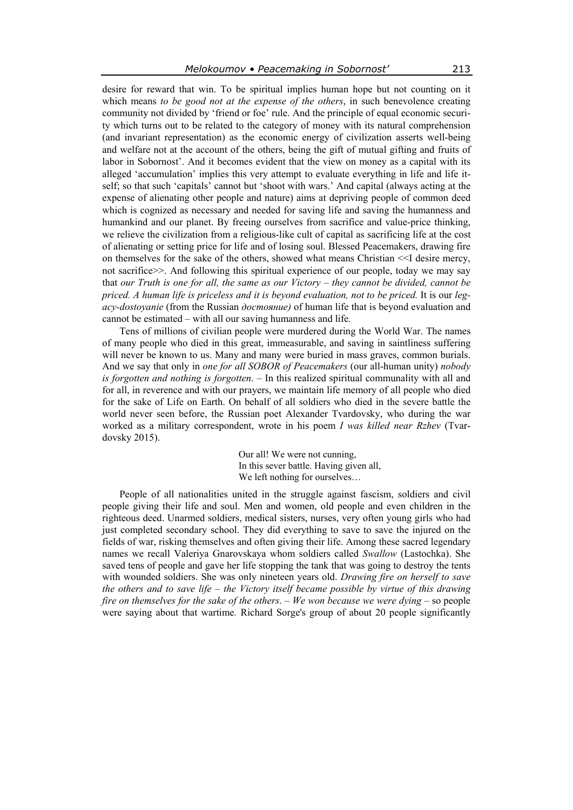desire for reward that win. To be spiritual implies human hope but not counting on it which means *to be good not at the expense of the others*, in such benevolence creating community not divided by 'friend or foe' rule. And the principle of equal economic security which turns out to be related to the category of money with its natural comprehension (and invariant representation) as the economic energy of civilization asserts well-being and welfare not at the account of the others, being the gift of mutual gifting and fruits of labor in Sobornost'. And it becomes evident that the view on money as a capital with its alleged 'accumulation' implies this very attempt to evaluate everything in life and life itself; so that such 'capitals' cannot but 'shoot with wars.' And capital (always acting at the expense of alienating other people and nature) aims at depriving people of common deed which is cognized as necessary and needed for saving life and saving the humanness and humankind and our planet. By freeing ourselves from sacrifice and value-price thinking, we relieve the civilization from a religious-like cult of capital as sacrificing life at the cost of alienating or setting price for life and of losing soul. Blessed Peacemakers, drawing fire on themselves for the sake of the others, showed what means Christian <<I desire mercy, not sacrifice>>. And following this spiritual experience of our people, today we may say that *our Truth is one for all, the same as our Victory – they cannot be divided, cannot be priced. A human life is priceless and it is beyond evaluation, not to be priced.* It is our *legacy-dostoyanie* (from the Russian *достояние)* of human life that is beyond evaluation and cannot be estimated – with all our saving humanness and life*.* 

Tens of millions of civilian people were murdered during the World War. The names of many people who died in this great, immeasurable, and saving in saintliness suffering will never be known to us. Many and many were buried in mass graves, common burials. And we say that only in *one for all SOBOR of Peacemakers* (our all-human unity) *nobody is forgotten and nothing is forgotten*. – In this realized spiritual communality with all and for all, in reverence and with our prayers, we maintain life memory of all people who died for the sake of Life on Earth. On behalf of all soldiers who died in the severe battle the world never seen before, the Russian poet Alexander Tvardovsky, who during the war worked as a military correspondent, wrote in his poem *I was killed near Rzhev* (Tvardovsky 2015).

> Our all! We were not cunning, In this sever battle. Having given all, We left nothing for ourselves…

People of all nationalities united in the struggle against fascism, soldiers and civil people giving their life and soul. Men and women, old people and even children in the righteous deed. Unarmed soldiers, medical sisters, nurses, very often young girls who had just completed secondary school. They did everything to save to save the injured on the fields of war, risking themselves and often giving their life. Among these sacred legendary names we recall Valeriya Gnarovskaya whom soldiers called *Swallow* (Lastochka). She saved tens of people and gave her life stopping the tank that was going to destroy the tents with wounded soldiers. She was only nineteen years old. *Drawing fire on herself to save the others and to save life – the Victory itself became possible by virtue of this drawing fire on themselves for the sake of the others*. *– We won because we were dying –* so people were saying about that wartime*.* Richard Sorge's group of about 20 people significantly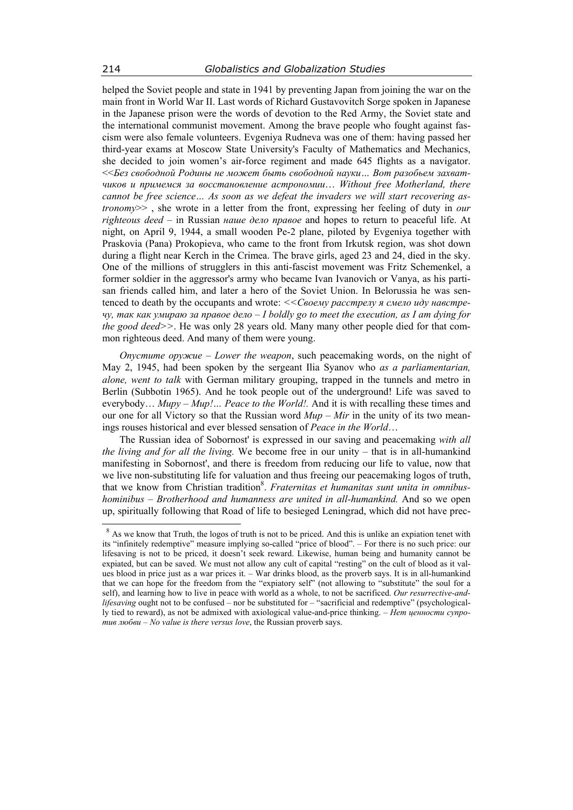helped the Soviet people and state in 1941 by preventing Japan from joining the war on the main front in World War II. Last words of Richard Gustavovitch Sorge spoken in Japanese in the Japanese prison were the words of devotion to the Red Army, the Soviet state and the international communist movement. Among the brave people who fought against fascism were also female volunteers. Evgeniya Rudneva was one of them: having passed her third-year exams at Moscow State University's Faculty of Mathematics and Mechanics, she decided to join women's air-force regiment and made 645 flights as a navigator. <<*Без свободной Родины не может быть свободной науки… Вот разобьем захватчиков и примемся за восстановление астрономии*… *Without free Motherland, there cannot be free science… As soon as we defeat the invaders we will start recovering astronomy*>> , she wrote in a letter from the front, expressing her feeling of duty in *our righteous deed* – in Russian *наше дело правое* and hopes to return to peaceful life. At night, on April 9, 1944, a small wooden Pe-2 plane, piloted by Evgeniya together with Praskovia (Pana) Prokopieva, who came to the front from Irkutsk region, was shot down during a flight near Kerch in the Crimea. The brave girls, aged 23 and 24, died in the sky. One of the millions of strugglers in this anti-fascist movement was Fritz Schemenkel, a former soldier in the aggressor's army who became Ivan Ivanovich or Vanya, as his partisan friends called him, and later a hero of the Soviet Union. In Belorussia he was sentenced to death by the occupants and wrote: *<<Своему расстрелу я смело иду навстречу, так как умираю за правое дело – I boldly go to meet the execution, as I am dying for the good deed>>*. He was only 28 years old. Many many other people died for that common righteous deed. And many of them were young.

*Опустите оружие – Lower the weapon*, such peacemaking words, on the night of May 2, 1945, had been spoken by the sergeant Ilia Syanov who *as a parliamentarian, alone, went to talk* with German military grouping, trapped in the tunnels and metro in Berlin (Subbotin 1965). And he took people out of the underground! Life was saved to everybody...  $Mupp - Mup!...$  Peace to the World!. And it is with recalling these times and our one for all Victory so that the Russian word *Мир – Мir* in the unity of its two meanings rouses historical and ever blessed sensation of *Peace in the World*…

The Russian idea of Sobornost' is expressed in our saving and peacemaking *with all the living and for all the living.* We become free in our unity – that is in all-humankind manifesting in Sobornost', and there is freedom from reducing our life to value, now that we live non-substituting life for valuation and thus freeing our peacemaking logos of truth, that we know from Christian tradition<sup>8</sup>. *Fraternitas et humanitas sunt unita in omnibushominibus – Brotherhood and humanness are united in all-humankind.* And so we open up, spiritually following that Road of life to besieged Leningrad, which did not have prec-

<sup>&</sup>lt;sup>8</sup> As we know that Truth, the logos of truth is not to be priced. And this is unlike an expiation tenet with its "infinitely redemptive" measure implying so-called "price of blood". – For there is no such price: our lifesaving is not to be priced, it doesn't seek reward. Likewise, human being and humanity cannot be expiated, but can be saved. We must not allow any cult of capital "resting" on the cult of blood as it values blood in price just as a war prices it. – War drinks blood, as the proverb says. It is in all-humankind that we can hope for the freedom from the "expiatory self" (not allowing to "substitute" the soul for a self), and learning how to live in peace with world as a whole, to not be sacrificed. *Our resurrective-andlifesaving* ought not to be confused – nor be substituted for – "sacrificial and redemptive" (psychologically tied to reward), as not be admixed with axiological value-and-price thinking. – *Нет ценности супротив любви* – *No value is there versus love*, the Russian proverb says.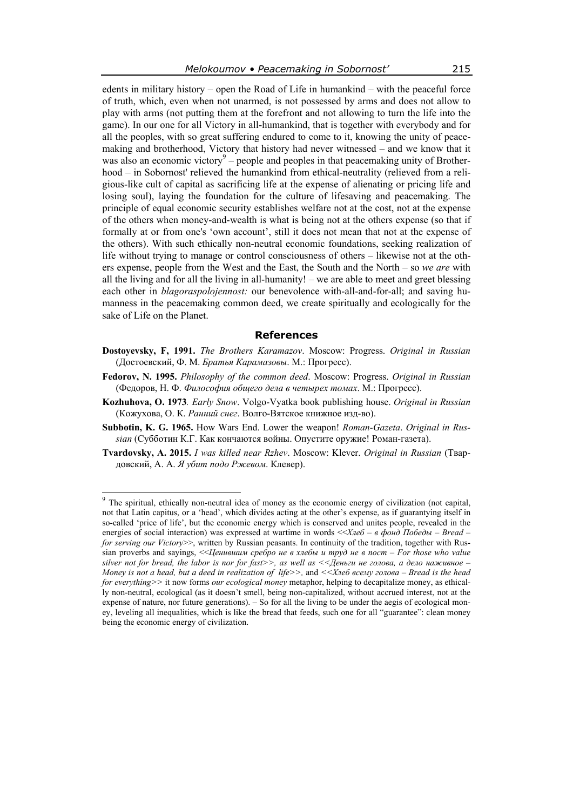edents in military history – open the Road of Life in humankind – with the peaceful force of truth, which, even when not unarmed, is not possessed by arms and does not allow to play with arms (not putting them at the forefront and not allowing to turn the life into the game). In our one for all Victory in all-humankind, that is together with everybody and for all the peoples, with so great suffering endured to come to it, knowing the unity of peacemaking and brotherhood, Victory that history had never witnessed – and we know that it was also an economic victory $9$  – people and peoples in that peacemaking unity of Brotherhood – in Sobornost' relieved the humankind from ethical-neutrality (relieved from a religious-like cult of capital as sacrificing life at the expense of alienating or pricing life and losing soul), laying the foundation for the culture of lifesaving and peacemaking. The principle of equal economic security establishes welfare not at the cost, not at the expense of the others when money-and-wealth is what is being not at the others expense (so that if formally at or from one's 'own account', still it does not mean that not at the expense of the others). With such ethically non-neutral economic foundations, seeking realization of life without trying to manage or control consciousness of others – likewise not at the others expense, people from the West and the East, the South and the North – so *we are* with all the living and for all the living in all-humanity! – we are able to meet and greet blessing each other in *blagoraspolojennost:* our benevolence with-all-and-for-all; and saving humanness in the peacemaking common deed, we create spiritually and ecologically for the sake of Life on the Planet.

## **References**

- **Dostoyevsky, F, 1991.** *The Brothers Karamazov*. Moscow: Progress. *Original in Russian* (Достоевский, Ф. М. *Братья Карамазовы*. М.: Прогресс).
- **Fedorov, N. 1995.** *Philosophy of the common deed*. Moscow: Progress. *Original in Russian* (Федоров, Н. Ф. *Философия общего дела в четырех томах*. М.: Прогресс).
- **Kozhuhova, O. 1973***. Early Snow*. Volgo-Vyatka book publishing house. *Original in Russian* (Кожухова, О. К. *Ранний снег*. Волго-Вятское книжное изд-во).
- **Subbotin, K. G. 1965.** How Wars End. Lower the weapon! *Roman-Gazeta*. *Original in Russian* (Субботин К.Г. Как кончаются войны. Опустите оружие! Роман-газета).
- **Tvardovsky, A. 2015.** *I was killed near Rzhev*. Moscow: Klever. *Original in Russian* (Твардовский, А. А. *Я убит подо Ржевом*. Клевер).

<sup>&</sup>lt;sup>9</sup> The spiritual, ethically non-neutral idea of money as the economic energy of civilization (not capital, not that Latin capitus, or a 'head', which divides acting at the other's expense, as if guarantying itself in so-called 'price of life', but the economic energy which is conserved and unites people, revealed in the energies of social interaction) was expressed at wartime in words <<*Хлеб – в фонд Победы* – *Bread – for serving our Victory* $\gg$ , written by Russian peasants. In continuity of the tradition, together with Russian proverbs and sayings, <<*Ценившим сребро не в хлебы и труд не в пост* – *For those who value silver not for bread, the labor is nor for fast>>, as well as <<Деньги не голова, а дело наживное – Money is not a head, but a deed in realization of life>>,* and *<<Хлеб всему голова – Bread is the head for everything>>* it now forms *our ecological money* metaphor, helping to decapitalize money, as ethically non-neutral, ecological (as it doesn't smell, being non-capitalized, without accrued interest, not at the expense of nature, nor future generations). – So for all the living to be under the aegis of ecological money, leveling all inequalities, which is like the bread that feeds, such one for all "guarantee": clean money being the economic energy of civilization.